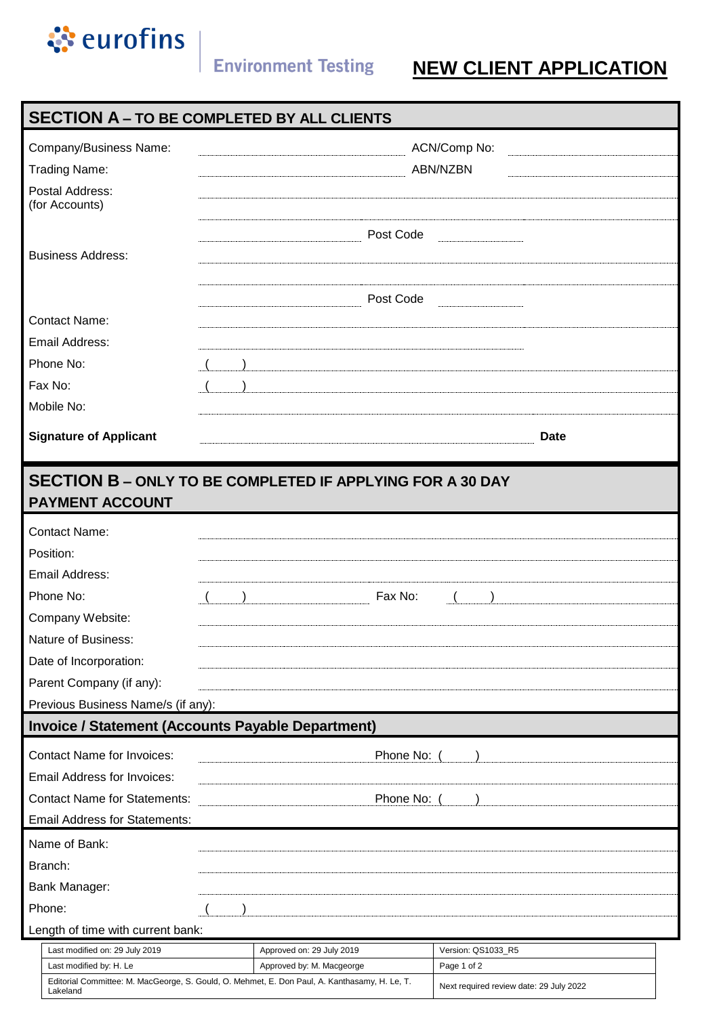

## **Environment Testing NEW CLIENT APPLICATION**

## **SECTION A – TO BE COMPLETED BY ALL CLIENTS**

| Post Code<br><b>Business Address:</b><br>Post Code<br><b>Contact Name:</b><br>Email Address:<br>Phone No:<br>Fax No:<br>Mobile No:<br><b>Signature of Applicant</b><br><b>Date</b><br><b>SECTION B - ONLY TO BE COMPLETED IF APPLYING FOR A 30 DAY</b><br><b>PAYMENT ACCOUNT</b><br><b>Contact Name:</b><br>Position:<br>Email Address:<br>Phone No:<br>Fax No:<br>Company Website:<br>Parent Company (if any):<br>Previous Business Name/s (if any):<br><b>Invoice / Statement (Accounts Payable Department)</b><br>Phone No: (<br><b>Email Address for Invoices:</b><br>Phone No: (<br><b>Email Address for Statements:</b><br>Name of Bank:<br>Bank Manager:<br>Length of time with current bank:<br>Last modified on: 29 July 2019<br>Approved on: 29 July 2019<br>Version: QS1033_R5<br>Approved by: M. Macgeorge<br>Last modified by: H. Le<br>Page 1 of 2 | Company/Business Name:<br><b>Trading Name:</b><br>Postal Address:<br>(for Accounts) |  | ACN/Comp No:<br>ABN/NZBN |  |  |  |  |  |  |
|------------------------------------------------------------------------------------------------------------------------------------------------------------------------------------------------------------------------------------------------------------------------------------------------------------------------------------------------------------------------------------------------------------------------------------------------------------------------------------------------------------------------------------------------------------------------------------------------------------------------------------------------------------------------------------------------------------------------------------------------------------------------------------------------------------------------------------------------------------------|-------------------------------------------------------------------------------------|--|--------------------------|--|--|--|--|--|--|
|                                                                                                                                                                                                                                                                                                                                                                                                                                                                                                                                                                                                                                                                                                                                                                                                                                                                  |                                                                                     |  |                          |  |  |  |  |  |  |
|                                                                                                                                                                                                                                                                                                                                                                                                                                                                                                                                                                                                                                                                                                                                                                                                                                                                  |                                                                                     |  |                          |  |  |  |  |  |  |
|                                                                                                                                                                                                                                                                                                                                                                                                                                                                                                                                                                                                                                                                                                                                                                                                                                                                  |                                                                                     |  |                          |  |  |  |  |  |  |
|                                                                                                                                                                                                                                                                                                                                                                                                                                                                                                                                                                                                                                                                                                                                                                                                                                                                  |                                                                                     |  |                          |  |  |  |  |  |  |
|                                                                                                                                                                                                                                                                                                                                                                                                                                                                                                                                                                                                                                                                                                                                                                                                                                                                  |                                                                                     |  |                          |  |  |  |  |  |  |
|                                                                                                                                                                                                                                                                                                                                                                                                                                                                                                                                                                                                                                                                                                                                                                                                                                                                  |                                                                                     |  |                          |  |  |  |  |  |  |
|                                                                                                                                                                                                                                                                                                                                                                                                                                                                                                                                                                                                                                                                                                                                                                                                                                                                  |                                                                                     |  |                          |  |  |  |  |  |  |
|                                                                                                                                                                                                                                                                                                                                                                                                                                                                                                                                                                                                                                                                                                                                                                                                                                                                  |                                                                                     |  |                          |  |  |  |  |  |  |
|                                                                                                                                                                                                                                                                                                                                                                                                                                                                                                                                                                                                                                                                                                                                                                                                                                                                  |                                                                                     |  |                          |  |  |  |  |  |  |
|                                                                                                                                                                                                                                                                                                                                                                                                                                                                                                                                                                                                                                                                                                                                                                                                                                                                  |                                                                                     |  |                          |  |  |  |  |  |  |
|                                                                                                                                                                                                                                                                                                                                                                                                                                                                                                                                                                                                                                                                                                                                                                                                                                                                  |                                                                                     |  |                          |  |  |  |  |  |  |
|                                                                                                                                                                                                                                                                                                                                                                                                                                                                                                                                                                                                                                                                                                                                                                                                                                                                  |                                                                                     |  |                          |  |  |  |  |  |  |
|                                                                                                                                                                                                                                                                                                                                                                                                                                                                                                                                                                                                                                                                                                                                                                                                                                                                  |                                                                                     |  |                          |  |  |  |  |  |  |
|                                                                                                                                                                                                                                                                                                                                                                                                                                                                                                                                                                                                                                                                                                                                                                                                                                                                  |                                                                                     |  |                          |  |  |  |  |  |  |
|                                                                                                                                                                                                                                                                                                                                                                                                                                                                                                                                                                                                                                                                                                                                                                                                                                                                  |                                                                                     |  |                          |  |  |  |  |  |  |
|                                                                                                                                                                                                                                                                                                                                                                                                                                                                                                                                                                                                                                                                                                                                                                                                                                                                  |                                                                                     |  |                          |  |  |  |  |  |  |
|                                                                                                                                                                                                                                                                                                                                                                                                                                                                                                                                                                                                                                                                                                                                                                                                                                                                  | Nature of Business:                                                                 |  |                          |  |  |  |  |  |  |
|                                                                                                                                                                                                                                                                                                                                                                                                                                                                                                                                                                                                                                                                                                                                                                                                                                                                  | Date of Incorporation:                                                              |  |                          |  |  |  |  |  |  |
|                                                                                                                                                                                                                                                                                                                                                                                                                                                                                                                                                                                                                                                                                                                                                                                                                                                                  |                                                                                     |  |                          |  |  |  |  |  |  |
|                                                                                                                                                                                                                                                                                                                                                                                                                                                                                                                                                                                                                                                                                                                                                                                                                                                                  |                                                                                     |  |                          |  |  |  |  |  |  |
|                                                                                                                                                                                                                                                                                                                                                                                                                                                                                                                                                                                                                                                                                                                                                                                                                                                                  |                                                                                     |  |                          |  |  |  |  |  |  |
|                                                                                                                                                                                                                                                                                                                                                                                                                                                                                                                                                                                                                                                                                                                                                                                                                                                                  | <b>Contact Name for Invoices:</b>                                                   |  |                          |  |  |  |  |  |  |
|                                                                                                                                                                                                                                                                                                                                                                                                                                                                                                                                                                                                                                                                                                                                                                                                                                                                  |                                                                                     |  |                          |  |  |  |  |  |  |
|                                                                                                                                                                                                                                                                                                                                                                                                                                                                                                                                                                                                                                                                                                                                                                                                                                                                  | <b>Contact Name for Statements:</b>                                                 |  |                          |  |  |  |  |  |  |
|                                                                                                                                                                                                                                                                                                                                                                                                                                                                                                                                                                                                                                                                                                                                                                                                                                                                  |                                                                                     |  |                          |  |  |  |  |  |  |
|                                                                                                                                                                                                                                                                                                                                                                                                                                                                                                                                                                                                                                                                                                                                                                                                                                                                  |                                                                                     |  |                          |  |  |  |  |  |  |
|                                                                                                                                                                                                                                                                                                                                                                                                                                                                                                                                                                                                                                                                                                                                                                                                                                                                  | Branch:                                                                             |  |                          |  |  |  |  |  |  |
|                                                                                                                                                                                                                                                                                                                                                                                                                                                                                                                                                                                                                                                                                                                                                                                                                                                                  |                                                                                     |  |                          |  |  |  |  |  |  |
|                                                                                                                                                                                                                                                                                                                                                                                                                                                                                                                                                                                                                                                                                                                                                                                                                                                                  | Phone:                                                                              |  |                          |  |  |  |  |  |  |
|                                                                                                                                                                                                                                                                                                                                                                                                                                                                                                                                                                                                                                                                                                                                                                                                                                                                  |                                                                                     |  |                          |  |  |  |  |  |  |
|                                                                                                                                                                                                                                                                                                                                                                                                                                                                                                                                                                                                                                                                                                                                                                                                                                                                  |                                                                                     |  |                          |  |  |  |  |  |  |
| Editorial Committee: M. MacGeorge, S. Gould, O. Mehmet, E. Don Paul, A. Kanthasamy, H. Le, T.<br>Next required review date: 29 July 2022<br>Lakeland                                                                                                                                                                                                                                                                                                                                                                                                                                                                                                                                                                                                                                                                                                             |                                                                                     |  |                          |  |  |  |  |  |  |